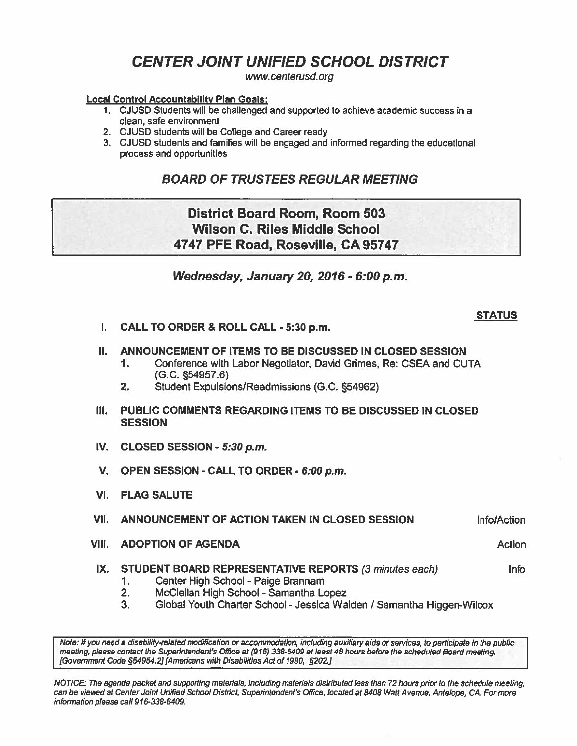# **CENTER JOINT UNIFIED SCHOOL DISTRICT**

**www.** *centerusd.* **org** 

#### **Local Control Accountabllitv Plan Goals:**

- 1. CJUSD Students will be challenged and supported to achieve academic success in a clean, safe environment
- 2. CJUSD students will be College and Career ready
- 3. CJUSD students and families will be engaged and informed regarding the educational process and opportunities

# **BOARD OF TRUSTEES REGULAR MEETING**

# District Board Room, Room 503 Wilson C. Riles Middle School 4747 PFE Road, Roseville, CA 95747

**Wednesday, January 20,2016** - **6:00 p.m.** 

### **STATUS**

I. CALL TO ORDER *8* ROLL CALL - **530 p.m.** 

#### II. ANNOUNCEMENT OF ITEMS TO BE DISCUSSED IN CLOSED SESSION

- 1. Conference with Labor Negotiator, David Grimes, Re: CSEA and CUTA (G.C. 554957.6)
- 2. Student Expulsions/Readmissions (G.C. **554962)**
- Ill. PUBLIC COMMENTS REGARDING ITEMS TO BE DISCUSSED IN CLOSED **SESSION**
- IV. CLOSED SESSION **5:30 p.m.**
- V. OPEN SESSION CALL TO ORDER **6:00 p.m.**
- VI. FLAG SALUTE

;

#### VII. ANNOUNCEMENT OF ACTION TAKEN IN CLOSED SESSION InfolAction

VIII. ADOPTION OF AGENDA Action Action Action Action Action Action

## IX. STUDENT BOARD REPRESENTATIVE REPORTS (3 minutes each) lnfo

- **1.** Center High School Paige Brannam
- **2.** McClellan High School Samantha Lopez
- **3.** Global Youth Charter School Jessica Walden / Samantha Higgen-Wilcox

Note: If you need a disability-related modification or accommodation, including auxiliary aids or services, to participate in the public meeting, please contact **Ule** Supmintendent's Ofice at **(916) 338-6409** at least 48 hours before the scheduted *Board* meeting. [Government Code 554954.21 [Americans **wilh** Disabililies Act of **1990,** 5202.1

NOTICE: The agenda packet and supporting materials, including materials distributed less than 72 hours prior to the schedule meeting, can be viewed at Center Joint Unified School District, Superintendeni's Office, located at 8408 Walt Avenue, Antelope, CA. For more information please call 916-338-6409.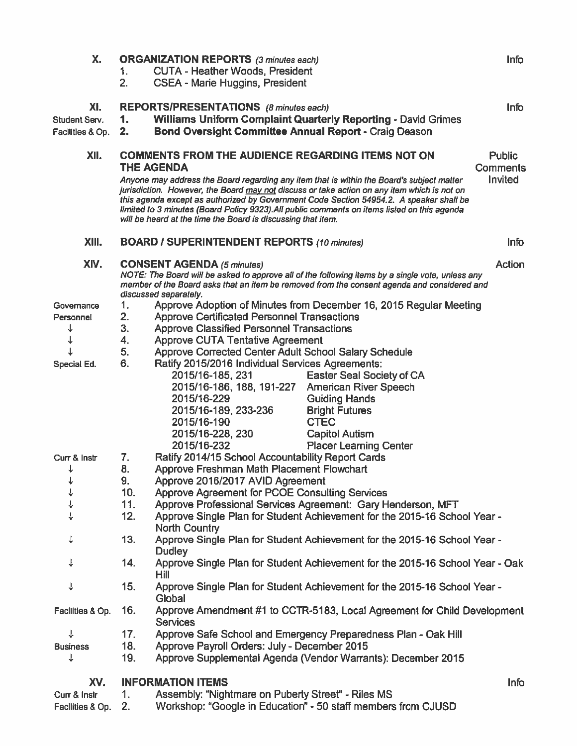| Χ.               | <b>ORGANIZATION REPORTS</b> (3 minutes each)                                                                                                                                                                             |                                                                                                   |                                                                                                                                                                                                                                                                                                                                                                                     | <b>Info</b>               |
|------------------|--------------------------------------------------------------------------------------------------------------------------------------------------------------------------------------------------------------------------|---------------------------------------------------------------------------------------------------|-------------------------------------------------------------------------------------------------------------------------------------------------------------------------------------------------------------------------------------------------------------------------------------------------------------------------------------------------------------------------------------|---------------------------|
|                  | <b>CUTA - Heather Woods, President</b><br>1.                                                                                                                                                                             |                                                                                                   |                                                                                                                                                                                                                                                                                                                                                                                     |                           |
|                  | 2.                                                                                                                                                                                                                       | <b>CSEA - Marie Huggins, President</b>                                                            |                                                                                                                                                                                                                                                                                                                                                                                     |                           |
| XI.              | <b>REPORTS/PRESENTATIONS</b> (8 minutes each)                                                                                                                                                                            |                                                                                                   |                                                                                                                                                                                                                                                                                                                                                                                     | <b>Info</b>               |
| Student Serv.    | 1.                                                                                                                                                                                                                       | <b>Williams Uniform Complaint Quarterly Reporting - David Grimes</b>                              |                                                                                                                                                                                                                                                                                                                                                                                     |                           |
| Facilities & Op. | 2.                                                                                                                                                                                                                       | <b>Bond Oversight Committee Annual Report - Craig Deason</b>                                      |                                                                                                                                                                                                                                                                                                                                                                                     |                           |
| XII.             | <b>COMMENTS FROM THE AUDIENCE REGARDING ITEMS NOT ON</b><br><b>THE AGENDA</b>                                                                                                                                            |                                                                                                   |                                                                                                                                                                                                                                                                                                                                                                                     | Public<br><b>Comments</b> |
|                  |                                                                                                                                                                                                                          | will be heard at the time the Board is discussing that item.                                      | Anyone may address the Board regarding any item that is within the Board's subject matter<br>jurisdiction. However, the Board may not discuss or take action on any item which is not on<br>this agenda except as authorized by Government Code Section 54954.2. A speaker shall be<br>limited to 3 minutes (Board Policy 9323). All public comments on items listed on this agenda | Invited                   |
| XIII.            | <b>BOARD / SUPERINTENDENT REPORTS (10 minutes)</b>                                                                                                                                                                       |                                                                                                   |                                                                                                                                                                                                                                                                                                                                                                                     | <b>Info</b>               |
| XIV.             | <b>CONSENT AGENDA (5 minutes)</b>                                                                                                                                                                                        |                                                                                                   |                                                                                                                                                                                                                                                                                                                                                                                     | <b>Action</b>             |
|                  | NOTE: The Board will be asked to approve all of the following items by a single vote, unless any<br>member of the Board asks that an item be removed from the consent agenda and considered and<br>discussed separately. |                                                                                                   |                                                                                                                                                                                                                                                                                                                                                                                     |                           |
| Governance       | 1.                                                                                                                                                                                                                       |                                                                                                   | Approve Adoption of Minutes from December 16, 2015 Regular Meeting                                                                                                                                                                                                                                                                                                                  |                           |
| Personnel        | 2.                                                                                                                                                                                                                       | <b>Approve Certificated Personnel Transactions</b>                                                |                                                                                                                                                                                                                                                                                                                                                                                     |                           |
| ↓                | 3.                                                                                                                                                                                                                       | <b>Approve Classified Personnel Transactions</b>                                                  |                                                                                                                                                                                                                                                                                                                                                                                     |                           |
|                  | 4.                                                                                                                                                                                                                       | <b>Approve CUTA Tentative Agreement</b>                                                           |                                                                                                                                                                                                                                                                                                                                                                                     |                           |
|                  | 5.                                                                                                                                                                                                                       | Approve Corrected Center Adult School Salary Schedule                                             |                                                                                                                                                                                                                                                                                                                                                                                     |                           |
| Special Ed.      | 6.                                                                                                                                                                                                                       | Ratify 2015/2016 Individual Services Agreements:                                                  |                                                                                                                                                                                                                                                                                                                                                                                     |                           |
|                  |                                                                                                                                                                                                                          | 2015/16-185, 231                                                                                  | <b>Easter Seal Society of CA</b>                                                                                                                                                                                                                                                                                                                                                    |                           |
|                  |                                                                                                                                                                                                                          | 2015/16-186, 188, 191-227                                                                         | <b>American River Speech</b>                                                                                                                                                                                                                                                                                                                                                        |                           |
|                  |                                                                                                                                                                                                                          | 2015/16-229                                                                                       | <b>Guiding Hands</b>                                                                                                                                                                                                                                                                                                                                                                |                           |
|                  |                                                                                                                                                                                                                          | 2015/16-189, 233-236                                                                              | <b>Bright Futures</b>                                                                                                                                                                                                                                                                                                                                                               |                           |
|                  |                                                                                                                                                                                                                          | 2015/16-190                                                                                       | <b>CTEC</b>                                                                                                                                                                                                                                                                                                                                                                         |                           |
|                  |                                                                                                                                                                                                                          | 2015/16-228, 230                                                                                  | <b>Capitol Autism</b>                                                                                                                                                                                                                                                                                                                                                               |                           |
|                  |                                                                                                                                                                                                                          | 2015/16-232                                                                                       | <b>Placer Learning Center</b>                                                                                                                                                                                                                                                                                                                                                       |                           |
| Curr & Instr     | 7.                                                                                                                                                                                                                       | Ratify 2014/15 School Accountability Report Cards                                                 |                                                                                                                                                                                                                                                                                                                                                                                     |                           |
| ↓                | 8.                                                                                                                                                                                                                       | Approve Freshman Math Placement Flowchart                                                         |                                                                                                                                                                                                                                                                                                                                                                                     |                           |
| ↓                | 9.                                                                                                                                                                                                                       | Approve 2016/2017 AVID Agreement                                                                  |                                                                                                                                                                                                                                                                                                                                                                                     |                           |
|                  | 10.                                                                                                                                                                                                                      | Approve Agreement for PCOE Consulting Services                                                    |                                                                                                                                                                                                                                                                                                                                                                                     |                           |
|                  | 11.                                                                                                                                                                                                                      | Approve Professional Services Agreement: Gary Henderson, MFT                                      |                                                                                                                                                                                                                                                                                                                                                                                     |                           |
|                  | 12.                                                                                                                                                                                                                      | Approve Single Plan for Student Achievement for the 2015-16 School Year -<br><b>North Country</b> |                                                                                                                                                                                                                                                                                                                                                                                     |                           |
| ↓                | 13.                                                                                                                                                                                                                      | Approve Single Plan for Student Achievement for the 2015-16 School Year -<br><b>Dudley</b>        |                                                                                                                                                                                                                                                                                                                                                                                     |                           |
| ↓                | 14.                                                                                                                                                                                                                      | Approve Single Plan for Student Achievement for the 2015-16 School Year - Oak<br>Hill             |                                                                                                                                                                                                                                                                                                                                                                                     |                           |
| ↓                | 15.                                                                                                                                                                                                                      | Approve Single Plan for Student Achievement for the 2015-16 School Year -<br>Global               |                                                                                                                                                                                                                                                                                                                                                                                     |                           |
| Facilities & Op. | 16.                                                                                                                                                                                                                      | Approve Amendment #1 to CCTR-5183, Local Agreement for Child Development<br><b>Services</b>       |                                                                                                                                                                                                                                                                                                                                                                                     |                           |
| ↓                | 17.                                                                                                                                                                                                                      | Approve Safe School and Emergency Preparedness Plan - Oak Hill                                    |                                                                                                                                                                                                                                                                                                                                                                                     |                           |
| <b>Business</b>  | 18.                                                                                                                                                                                                                      | Approve Payroll Orders: July - December 2015                                                      |                                                                                                                                                                                                                                                                                                                                                                                     |                           |
| ↓                | 19.                                                                                                                                                                                                                      |                                                                                                   | Approve Supplemental Agenda (Vendor Warrants): December 2015                                                                                                                                                                                                                                                                                                                        |                           |
| XV.              |                                                                                                                                                                                                                          | <b>INFORMATION ITEMS</b>                                                                          |                                                                                                                                                                                                                                                                                                                                                                                     | <b>Info</b>               |
| Curr & Instr     | 1.                                                                                                                                                                                                                       | Assembly: "Nightmare on Puberty Street" - Riles MS                                                |                                                                                                                                                                                                                                                                                                                                                                                     |                           |
| Facilities & Op. | 2.                                                                                                                                                                                                                       |                                                                                                   | Workshop: "Google in Education" - 50 staff members from CJUSD                                                                                                                                                                                                                                                                                                                       |                           |
|                  |                                                                                                                                                                                                                          |                                                                                                   |                                                                                                                                                                                                                                                                                                                                                                                     |                           |